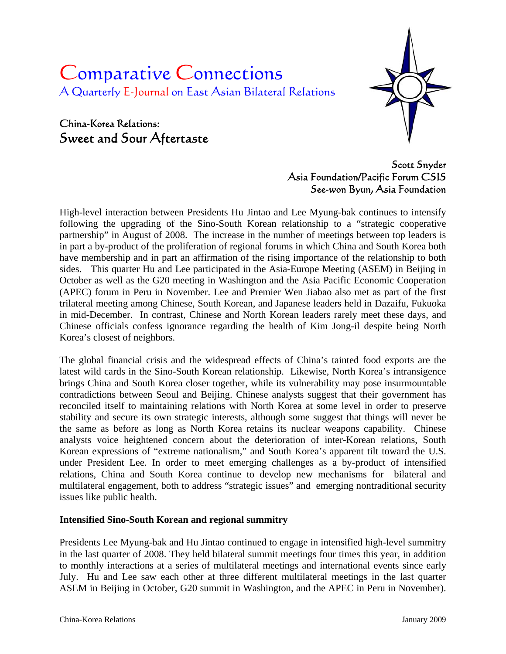# Comparative Connections A Quarterly E-Journal on East Asian Bilateral Relations

# China-Korea Relations: Sweet and Sour Aftertaste



# Scott Snyder Asia Foundation/Pacific Forum CSIS See-won Byun, Asia Foundation

High-level interaction between Presidents Hu Jintao and Lee Myung-bak continues to intensify following the upgrading of the Sino-South Korean relationship to a "strategic cooperative partnership" in August of 2008. The increase in the number of meetings between top leaders is in part a by-product of the proliferation of regional forums in which China and South Korea both have membership and in part an affirmation of the rising importance of the relationship to both sides. This quarter Hu and Lee participated in the Asia-Europe Meeting (ASEM) in Beijing in October as well as the G20 meeting in Washington and the Asia Pacific Economic Cooperation (APEC) forum in Peru in November. Lee and Premier Wen Jiabao also met as part of the first trilateral meeting among Chinese, South Korean, and Japanese leaders held in Dazaifu, Fukuoka in mid-December. In contrast, Chinese and North Korean leaders rarely meet these days, and Chinese officials confess ignorance regarding the health of Kim Jong-il despite being North Korea's closest of neighbors.

The global financial crisis and the widespread effects of China's tainted food exports are the latest wild cards in the Sino-South Korean relationship. Likewise, North Korea's intransigence brings China and South Korea closer together, while its vulnerability may pose insurmountable contradictions between Seoul and Beijing. Chinese analysts suggest that their government has reconciled itself to maintaining relations with North Korea at some level in order to preserve stability and secure its own strategic interests, although some suggest that things will never be the same as before as long as North Korea retains its nuclear weapons capability. Chinese analysts voice heightened concern about the deterioration of inter-Korean relations, South Korean expressions of "extreme nationalism," and South Korea's apparent tilt toward the U.S. under President Lee. In order to meet emerging challenges as a by-product of intensified relations, China and South Korea continue to develop new mechanisms for bilateral and multilateral engagement, both to address "strategic issues" and emerging nontraditional security issues like public health.

### **Intensified Sino-South Korean and regional summitry**

Presidents Lee Myung-bak and Hu Jintao continued to engage in intensified high-level summitry in the last quarter of 2008. They held bilateral summit meetings four times this year, in addition to monthly interactions at a series of multilateral meetings and international events since early July. Hu and Lee saw each other at three different multilateral meetings in the last quarter ASEM in Beijing in October, G20 summit in Washington, and the APEC in Peru in November).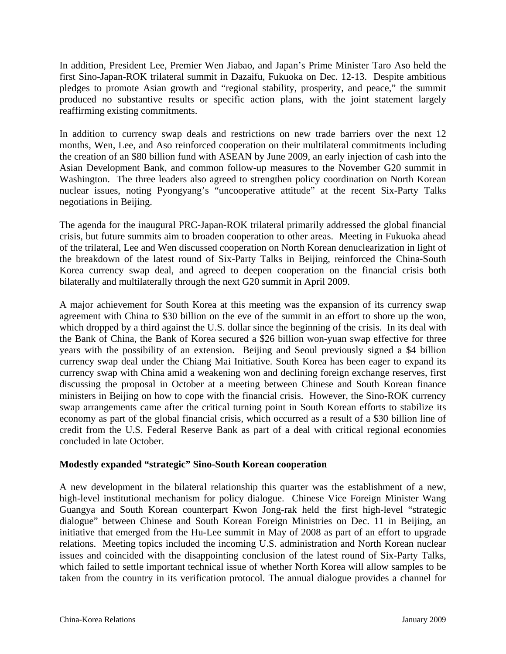In addition, President Lee, Premier Wen Jiabao, and Japan's Prime Minister Taro Aso held the first Sino-Japan-ROK trilateral summit in Dazaifu, Fukuoka on Dec. 12-13. Despite ambitious pledges to promote Asian growth and "regional stability, prosperity, and peace," the summit produced no substantive results or specific action plans, with the joint statement largely reaffirming existing commitments.

In addition to currency swap deals and restrictions on new trade barriers over the next 12 months, Wen, Lee, and Aso reinforced cooperation on their multilateral commitments including the creation of an \$80 billion fund with ASEAN by June 2009, an early injection of cash into the Asian Development Bank, and common follow-up measures to the November G20 summit in Washington. The three leaders also agreed to strengthen policy coordination on North Korean nuclear issues, noting Pyongyang's "uncooperative attitude" at the recent Six-Party Talks negotiations in Beijing.

The agenda for the inaugural PRC-Japan-ROK trilateral primarily addressed the global financial crisis, but future summits aim to broaden cooperation to other areas. Meeting in Fukuoka ahead of the trilateral, Lee and Wen discussed cooperation on North Korean denuclearization in light of the breakdown of the latest round of Six-Party Talks in Beijing, reinforced the China-South Korea currency swap deal, and agreed to deepen cooperation on the financial crisis both bilaterally and multilaterally through the next G20 summit in April 2009.

A major achievement for South Korea at this meeting was the expansion of its currency swap agreement with China to \$30 billion on the eve of the summit in an effort to shore up the won, which dropped by a third against the U.S. dollar since the beginning of the crisis. In its deal with the Bank of China, the Bank of Korea secured a \$26 billion won-yuan swap effective for three years with the possibility of an extension. Beijing and Seoul previously signed a \$4 billion currency swap deal under the Chiang Mai Initiative. South Korea has been eager to expand its currency swap with China amid a weakening won and declining foreign exchange reserves, first discussing the proposal in October at a meeting between Chinese and South Korean finance ministers in Beijing on how to cope with the financial crisis. However, the Sino-ROK currency swap arrangements came after the critical turning point in South Korean efforts to stabilize its economy as part of the global financial crisis, which occurred as a result of a \$30 billion line of credit from the U.S. Federal Reserve Bank as part of a deal with critical regional economies concluded in late October.

#### **Modestly expanded "strategic" Sino-South Korean cooperation**

A new development in the bilateral relationship this quarter was the establishment of a new, high-level institutional mechanism for policy dialogue. Chinese Vice Foreign Minister Wang Guangya and South Korean counterpart Kwon Jong-rak held the first high-level "strategic dialogue" between Chinese and South Korean Foreign Ministries on Dec. 11 in Beijing, an initiative that emerged from the Hu-Lee summit in May of 2008 as part of an effort to upgrade relations. Meeting topics included the incoming U.S. administration and North Korean nuclear issues and coincided with the disappointing conclusion of the latest round of Six-Party Talks, which failed to settle important technical issue of whether North Korea will allow samples to be taken from the country in its verification protocol. The annual dialogue provides a channel for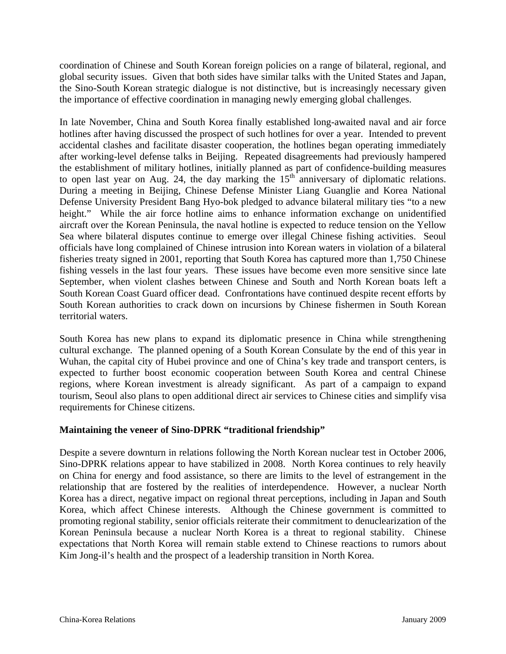coordination of Chinese and South Korean foreign policies on a range of bilateral, regional, and global security issues. Given that both sides have similar talks with the United States and Japan, the Sino-South Korean strategic dialogue is not distinctive, but is increasingly necessary given the importance of effective coordination in managing newly emerging global challenges.

In late November, China and South Korea finally established long-awaited naval and air force hotlines after having discussed the prospect of such hotlines for over a year. Intended to prevent accidental clashes and facilitate disaster cooperation, the hotlines began operating immediately after working-level defense talks in Beijing. Repeated disagreements had previously hampered the establishment of military hotlines, initially planned as part of confidence-building measures to open last year on Aug. 24, the day marking the  $15<sup>th</sup>$  anniversary of diplomatic relations. During a meeting in Beijing, Chinese Defense Minister Liang Guanglie and Korea National Defense University President Bang Hyo-bok pledged to advance bilateral military ties "to a new height." While the air force hotline aims to enhance information exchange on unidentified aircraft over the Korean Peninsula, the naval hotline is expected to reduce tension on the Yellow Sea where bilateral disputes continue to emerge over illegal Chinese fishing activities. Seoul officials have long complained of Chinese intrusion into Korean waters in violation of a bilateral fisheries treaty signed in 2001, reporting that South Korea has captured more than 1,750 Chinese fishing vessels in the last four years. These issues have become even more sensitive since late September, when violent clashes between Chinese and South and North Korean boats left a South Korean Coast Guard officer dead. Confrontations have continued despite recent efforts by South Korean authorities to crack down on incursions by Chinese fishermen in South Korean territorial waters.

South Korea has new plans to expand its diplomatic presence in China while strengthening cultural exchange. The planned opening of a South Korean Consulate by the end of this year in Wuhan, the capital city of Hubei province and one of China's key trade and transport centers, is expected to further boost economic cooperation between South Korea and central Chinese regions, where Korean investment is already significant. As part of a campaign to expand tourism, Seoul also plans to open additional direct air services to Chinese cities and simplify visa requirements for Chinese citizens.

#### **Maintaining the veneer of Sino-DPRK "traditional friendship"**

Despite a severe downturn in relations following the North Korean nuclear test in October 2006, Sino-DPRK relations appear to have stabilized in 2008. North Korea continues to rely heavily on China for energy and food assistance, so there are limits to the level of estrangement in the relationship that are fostered by the realities of interdependence. However, a nuclear North Korea has a direct, negative impact on regional threat perceptions, including in Japan and South Korea, which affect Chinese interests. Although the Chinese government is committed to promoting regional stability, senior officials reiterate their commitment to denuclearization of the Korean Peninsula because a nuclear North Korea is a threat to regional stability. Chinese expectations that North Korea will remain stable extend to Chinese reactions to rumors about Kim Jong-il's health and the prospect of a leadership transition in North Korea.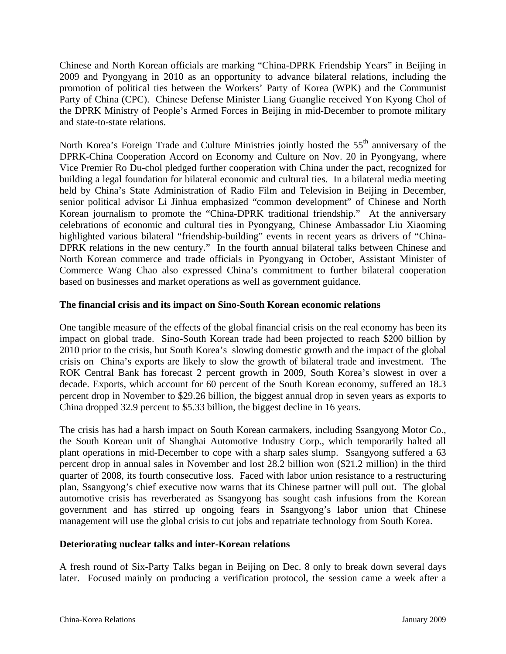Chinese and North Korean officials are marking "China-DPRK Friendship Years" in Beijing in 2009 and Pyongyang in 2010 as an opportunity to advance bilateral relations, including the promotion of political ties between the Workers' Party of Korea (WPK) and the Communist Party of China (CPC). Chinese Defense Minister Liang Guanglie received Yon Kyong Chol of the DPRK Ministry of People's Armed Forces in Beijing in mid-December to promote military and state-to-state relations.

North Korea's Foreign Trade and Culture Ministries jointly hosted the 55<sup>th</sup> anniversary of the DPRK-China Cooperation Accord on Economy and Culture on Nov. 20 in Pyongyang, where Vice Premier Ro Du-chol pledged further cooperation with China under the pact, recognized for building a legal foundation for bilateral economic and cultural ties. In a bilateral media meeting held by China's State Administration of Radio Film and Television in Beijing in December, senior political advisor Li Jinhua emphasized "common development" of Chinese and North Korean journalism to promote the "China-DPRK traditional friendship." At the anniversary celebrations of economic and cultural ties in Pyongyang, Chinese Ambassador Liu Xiaoming highlighted various bilateral "friendship-building" events in recent years as drivers of "China-DPRK relations in the new century." In the fourth annual bilateral talks between Chinese and North Korean commerce and trade officials in Pyongyang in October, Assistant Minister of Commerce Wang Chao also expressed China's commitment to further bilateral cooperation based on businesses and market operations as well as government guidance.

#### **The financial crisis and its impact on Sino-South Korean economic relations**

One tangible measure of the effects of the global financial crisis on the real economy has been its impact on global trade. Sino-South Korean trade had been projected to reach \$200 billion by 2010 prior to the crisis, but South Korea's slowing domestic growth and the impact of the global crisis on China's exports are likely to slow the growth of bilateral trade and investment. The ROK Central Bank has forecast 2 percent growth in 2009, South Korea's slowest in over a decade. Exports, which account for 60 percent of the South Korean economy, suffered an 18.3 percent drop in November to \$29.26 billion, the biggest annual drop in seven years as exports to China dropped 32.9 percent to \$5.33 billion, the biggest decline in 16 years.

The crisis has had a harsh impact on South Korean carmakers, including Ssangyong Motor Co., the South Korean unit of Shanghai Automotive Industry Corp., which temporarily halted all plant operations in mid-December to cope with a sharp sales slump. Ssangyong suffered a 63 percent drop in annual sales in November and lost 28.2 billion won (\$21.2 million) in the third quarter of 2008, its fourth consecutive loss. Faced with labor union resistance to a restructuring plan, Ssangyong's chief executive now warns that its Chinese partner will pull out. The global automotive crisis has reverberated as Ssangyong has sought cash infusions from the Korean government and has stirred up ongoing fears in Ssangyong's labor union that Chinese management will use the global crisis to cut jobs and repatriate technology from South Korea.

#### **Deteriorating nuclear talks and inter-Korean relations**

A fresh round of Six-Party Talks began in Beijing on Dec. 8 only to break down several days later. Focused mainly on producing a verification protocol, the session came a week after a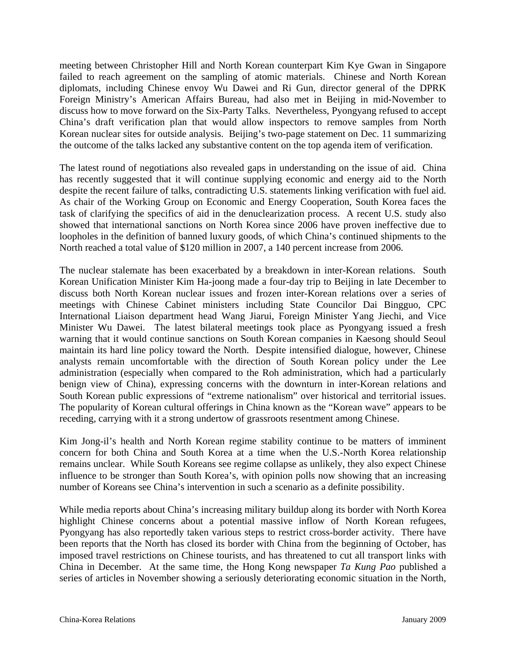meeting between Christopher Hill and North Korean counterpart Kim Kye Gwan in Singapore failed to reach agreement on the sampling of atomic materials. Chinese and North Korean diplomats, including Chinese envoy Wu Dawei and Ri Gun, director general of the DPRK Foreign Ministry's American Affairs Bureau, had also met in Beijing in mid-November to discuss how to move forward on the Six-Party Talks. Nevertheless, Pyongyang refused to accept China's draft verification plan that would allow inspectors to remove samples from North Korean nuclear sites for outside analysis. Beijing's two-page statement on Dec. 11 summarizing the outcome of the talks lacked any substantive content on the top agenda item of verification.

The latest round of negotiations also revealed gaps in understanding on the issue of aid. China has recently suggested that it will continue supplying economic and energy aid to the North despite the recent failure of talks, contradicting U.S. statements linking verification with fuel aid. As chair of the Working Group on Economic and Energy Cooperation, South Korea faces the task of clarifying the specifics of aid in the denuclearization process. A recent U.S. study also showed that international sanctions on North Korea since 2006 have proven ineffective due to loopholes in the definition of banned luxury goods, of which China's continued shipments to the North reached a total value of \$120 million in 2007, a 140 percent increase from 2006.

The nuclear stalemate has been exacerbated by a breakdown in inter-Korean relations. South Korean Unification Minister Kim Ha-joong made a four-day trip to Beijing in late December to discuss both North Korean nuclear issues and frozen inter-Korean relations over a series of meetings with Chinese Cabinet ministers including State Councilor Dai Bingguo, CPC International Liaison department head Wang Jiarui, Foreign Minister Yang Jiechi, and Vice Minister Wu Dawei. The latest bilateral meetings took place as Pyongyang issued a fresh warning that it would continue sanctions on South Korean companies in Kaesong should Seoul maintain its hard line policy toward the North. Despite intensified dialogue, however, Chinese analysts remain uncomfortable with the direction of South Korean policy under the Lee administration (especially when compared to the Roh administration, which had a particularly benign view of China), expressing concerns with the downturn in inter-Korean relations and South Korean public expressions of "extreme nationalism" over historical and territorial issues. The popularity of Korean cultural offerings in China known as the "Korean wave" appears to be receding, carrying with it a strong undertow of grassroots resentment among Chinese.

Kim Jong-il's health and North Korean regime stability continue to be matters of imminent concern for both China and South Korea at a time when the U.S.-North Korea relationship remains unclear. While South Koreans see regime collapse as unlikely, they also expect Chinese influence to be stronger than South Korea's, with opinion polls now showing that an increasing number of Koreans see China's intervention in such a scenario as a definite possibility.

While media reports about China's increasing military buildup along its border with North Korea highlight Chinese concerns about a potential massive inflow of North Korean refugees, Pyongyang has also reportedly taken various steps to restrict cross-border activity. There have been reports that the North has closed its border with China from the beginning of October, has imposed travel restrictions on Chinese tourists, and has threatened to cut all transport links with China in December. At the same time, the Hong Kong newspaper *Ta Kung Pao* published a series of articles in November showing a seriously deteriorating economic situation in the North,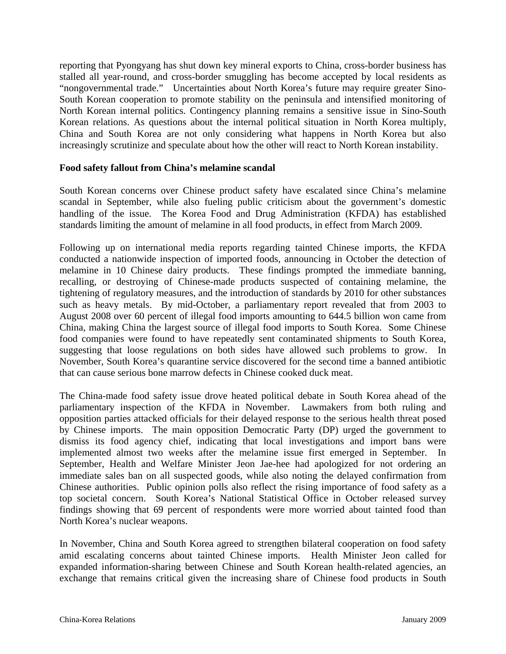reporting that Pyongyang has shut down key mineral exports to China, cross-border business has stalled all year-round, and cross-border smuggling has become accepted by local residents as "nongovernmental trade." Uncertainties about North Korea's future may require greater Sino-South Korean cooperation to promote stability on the peninsula and intensified monitoring of North Korean internal politics. Contingency planning remains a sensitive issue in Sino-South Korean relations. As questions about the internal political situation in North Korea multiply, China and South Korea are not only considering what happens in North Korea but also increasingly scrutinize and speculate about how the other will react to North Korean instability.

#### **Food safety fallout from China's melamine scandal**

South Korean concerns over Chinese product safety have escalated since China's melamine scandal in September, while also fueling public criticism about the government's domestic handling of the issue. The Korea Food and Drug Administration (KFDA) has established standards limiting the amount of melamine in all food products, in effect from March 2009.

Following up on international media reports regarding tainted Chinese imports, the KFDA conducted a nationwide inspection of imported foods, announcing in October the detection of melamine in 10 Chinese dairy products. These findings prompted the immediate banning, recalling, or destroying of Chinese-made products suspected of containing melamine, the tightening of regulatory measures, and the introduction of standards by 2010 for other substances such as heavy metals. By mid-October, a parliamentary report revealed that from 2003 to August 2008 over 60 percent of illegal food imports amounting to 644.5 billion won came from China, making China the largest source of illegal food imports to South Korea. Some Chinese food companies were found to have repeatedly sent contaminated shipments to South Korea, suggesting that loose regulations on both sides have allowed such problems to grow. In November, South Korea's quarantine service discovered for the second time a banned antibiotic that can cause serious bone marrow defects in Chinese cooked duck meat.

The China-made food safety issue drove heated political debate in South Korea ahead of the parliamentary inspection of the KFDA in November. Lawmakers from both ruling and opposition parties attacked officials for their delayed response to the serious health threat posed by Chinese imports. The main opposition Democratic Party (DP) urged the government to dismiss its food agency chief, indicating that local investigations and import bans were implemented almost two weeks after the melamine issue first emerged in September. In September, Health and Welfare Minister Jeon Jae-hee had apologized for not ordering an immediate sales ban on all suspected goods, while also noting the delayed confirmation from Chinese authorities. Public opinion polls also reflect the rising importance of food safety as a top societal concern. South Korea's National Statistical Office in October released survey findings showing that 69 percent of respondents were more worried about tainted food than North Korea's nuclear weapons.

In November, China and South Korea agreed to strengthen bilateral cooperation on food safety amid escalating concerns about tainted Chinese imports. Health Minister Jeon called for expanded information-sharing between Chinese and South Korean health-related agencies, an exchange that remains critical given the increasing share of Chinese food products in South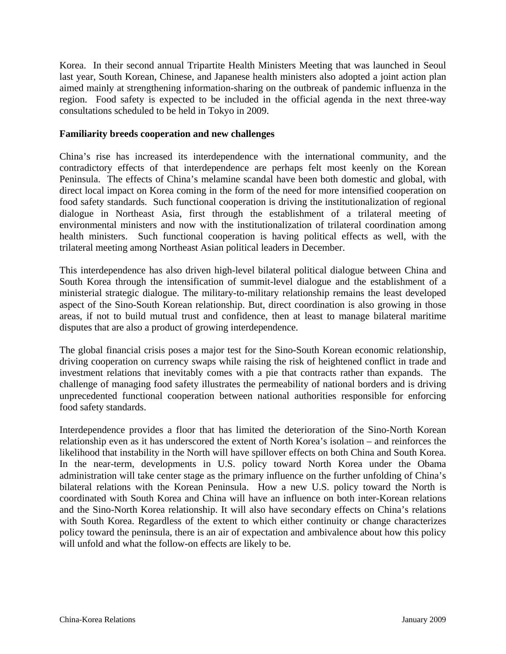Korea. In their second annual Tripartite Health Ministers Meeting that was launched in Seoul last year, South Korean, Chinese, and Japanese health ministers also adopted a joint action plan aimed mainly at strengthening information-sharing on the outbreak of pandemic influenza in the region. Food safety is expected to be included in the official agenda in the next three-way consultations scheduled to be held in Tokyo in 2009.

#### **Familiarity breeds cooperation and new challenges**

China's rise has increased its interdependence with the international community, and the contradictory effects of that interdependence are perhaps felt most keenly on the Korean Peninsula. The effects of China's melamine scandal have been both domestic and global, with direct local impact on Korea coming in the form of the need for more intensified cooperation on food safety standards. Such functional cooperation is driving the institutionalization of regional dialogue in Northeast Asia, first through the establishment of a trilateral meeting of environmental ministers and now with the institutionalization of trilateral coordination among health ministers. Such functional cooperation is having political effects as well, with the trilateral meeting among Northeast Asian political leaders in December.

This interdependence has also driven high-level bilateral political dialogue between China and South Korea through the intensification of summit-level dialogue and the establishment of a ministerial strategic dialogue. The military-to-military relationship remains the least developed aspect of the Sino-South Korean relationship. But, direct coordination is also growing in those areas, if not to build mutual trust and confidence, then at least to manage bilateral maritime disputes that are also a product of growing interdependence.

The global financial crisis poses a major test for the Sino-South Korean economic relationship, driving cooperation on currency swaps while raising the risk of heightened conflict in trade and investment relations that inevitably comes with a pie that contracts rather than expands. The challenge of managing food safety illustrates the permeability of national borders and is driving unprecedented functional cooperation between national authorities responsible for enforcing food safety standards.

Interdependence provides a floor that has limited the deterioration of the Sino-North Korean relationship even as it has underscored the extent of North Korea's isolation – and reinforces the likelihood that instability in the North will have spillover effects on both China and South Korea. In the near-term, developments in U.S. policy toward North Korea under the Obama administration will take center stage as the primary influence on the further unfolding of China's bilateral relations with the Korean Peninsula. How a new U.S. policy toward the North is coordinated with South Korea and China will have an influence on both inter-Korean relations and the Sino-North Korea relationship. It will also have secondary effects on China's relations with South Korea. Regardless of the extent to which either continuity or change characterizes policy toward the peninsula, there is an air of expectation and ambivalence about how this policy will unfold and what the follow-on effects are likely to be.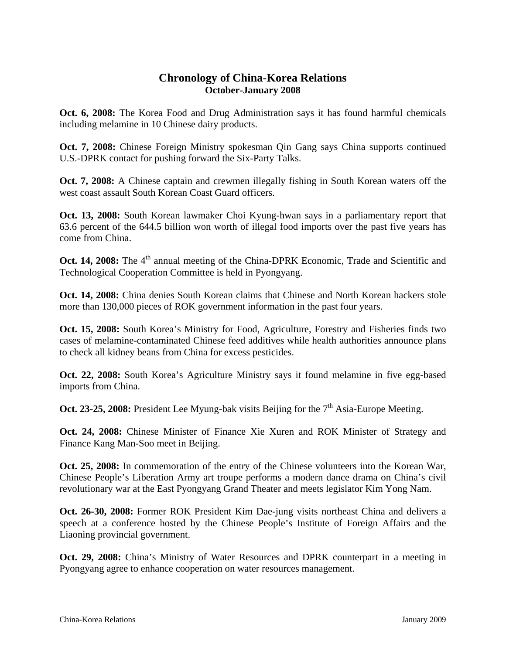## **Chronology of China-Korea Relations October-January 2008**

**Oct. 6, 2008:** The Korea Food and Drug Administration says it has found harmful chemicals including melamine in 10 Chinese dairy products.

**Oct. 7, 2008:** Chinese Foreign Ministry spokesman Qin Gang says China supports continued U.S.-DPRK contact for pushing forward the Six-Party Talks.

**Oct. 7, 2008:** A Chinese captain and crewmen illegally fishing in South Korean waters off the west coast assault South Korean Coast Guard officers.

**Oct. 13, 2008:** South Korean lawmaker Choi Kyung-hwan says in a parliamentary report that 63.6 percent of the 644.5 billion won worth of illegal food imports over the past five years has come from China.

**Oct. 14, 2008:** The 4<sup>th</sup> annual meeting of the China-DPRK Economic, Trade and Scientific and Technological Cooperation Committee is held in Pyongyang.

**Oct. 14, 2008:** China denies South Korean claims that Chinese and North Korean hackers stole more than 130,000 pieces of ROK government information in the past four years.

**Oct. 15, 2008:** South Korea's Ministry for Food, Agriculture, Forestry and Fisheries finds two cases of melamine-contaminated Chinese feed additives while health authorities announce plans to check all kidney beans from China for excess pesticides.

**Oct. 22, 2008:** South Korea's Agriculture Ministry says it found melamine in five egg-based imports from China.

**Oct. 23-25, 2008:** President Lee Myung-bak visits Beijing for the 7<sup>th</sup> Asia-Europe Meeting.

**Oct. 24, 2008:** Chinese Minister of Finance Xie Xuren and ROK Minister of Strategy and Finance Kang Man-Soo meet in Beijing.

**Oct. 25, 2008:** In commemoration of the entry of the Chinese volunteers into the Korean War, Chinese People's Liberation Army art troupe performs a modern dance drama on China's civil revolutionary war at the East Pyongyang Grand Theater and meets legislator Kim Yong Nam.

**Oct. 26-30, 2008:** Former ROK President Kim Dae-jung visits northeast China and delivers a speech at a conference hosted by the Chinese People's Institute of Foreign Affairs and the Liaoning provincial government.

**Oct. 29, 2008:** China's Ministry of Water Resources and DPRK counterpart in a meeting in Pyongyang agree to enhance cooperation on water resources management.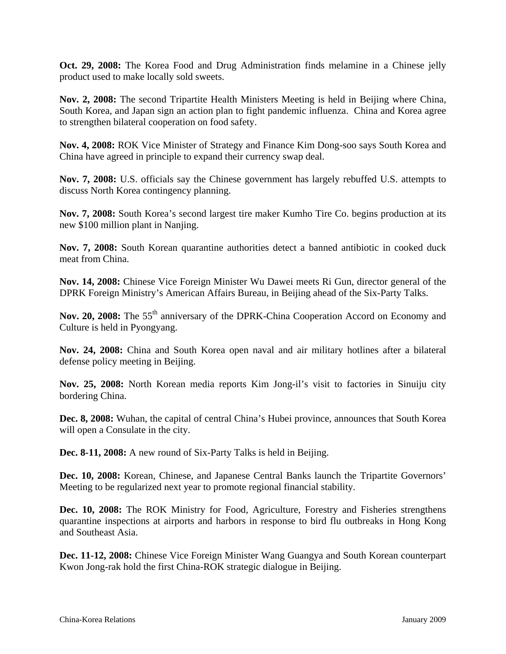**Oct. 29, 2008:** The Korea Food and Drug Administration finds melamine in a Chinese jelly product used to make locally sold sweets.

**Nov. 2, 2008:** The second Tripartite Health Ministers Meeting is held in Beijing where China, South Korea, and Japan sign an action plan to fight pandemic influenza. China and Korea agree to strengthen bilateral cooperation on food safety.

**Nov. 4, 2008:** ROK Vice Minister of Strategy and Finance Kim Dong-soo says South Korea and China have agreed in principle to expand their currency swap deal.

**Nov. 7, 2008:** U.S. officials say the Chinese government has largely rebuffed U.S. attempts to discuss North Korea contingency planning.

**Nov. 7, 2008:** South Korea's second largest tire maker Kumho Tire Co. begins production at its new \$100 million plant in Nanjing.

**Nov. 7, 2008:** South Korean quarantine authorities detect a banned antibiotic in cooked duck meat from China.

**Nov. 14, 2008:** Chinese Vice Foreign Minister Wu Dawei meets Ri Gun, director general of the DPRK Foreign Ministry's American Affairs Bureau, in Beijing ahead of the Six-Party Talks.

Nov. 20, 2008: The 55<sup>th</sup> anniversary of the DPRK-China Cooperation Accord on Economy and Culture is held in Pyongyang.

**Nov. 24, 2008:** China and South Korea open naval and air military hotlines after a bilateral defense policy meeting in Beijing.

**Nov. 25, 2008:** North Korean media reports Kim Jong-il's visit to factories in Sinuiju city bordering China.

**Dec. 8, 2008:** Wuhan, the capital of central China's Hubei province, announces that South Korea will open a Consulate in the city.

**Dec. 8-11, 2008:** A new round of Six-Party Talks is held in Beijing.

**Dec. 10, 2008:** Korean, Chinese, and Japanese Central Banks launch the Tripartite Governors' Meeting to be regularized next year to promote regional financial stability.

**Dec. 10, 2008:** The ROK Ministry for Food, Agriculture, Forestry and Fisheries strengthens quarantine inspections at airports and harbors in response to bird flu outbreaks in Hong Kong and Southeast Asia.

**Dec. 11-12, 2008:** Chinese Vice Foreign Minister Wang Guangya and South Korean counterpart Kwon Jong-rak hold the first China-ROK strategic dialogue in Beijing.